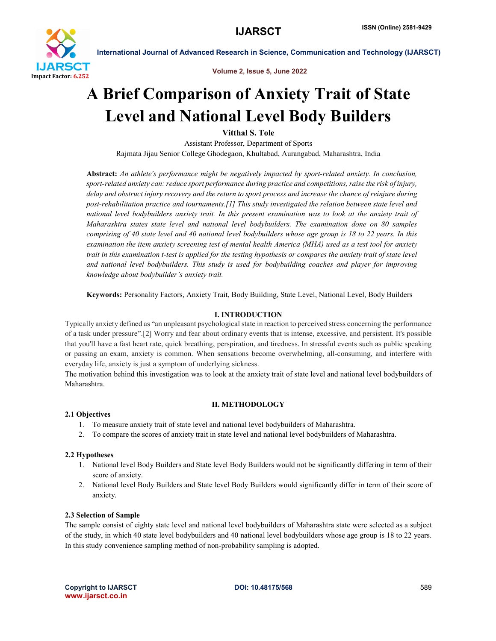

International Journal of Advanced Research in Science, Communication and Technology (IJARSCT)

Volume 2, Issue 5, June 2022

# A Brief Comparison of Anxiety Trait of State Level and National Level Body Builders

Vitthal S. Tole

Assistant Professor, Department of Sports Rajmata Jijau Senior College Ghodegaon, Khultabad, Aurangabad, Maharashtra, India

Abstract: *An athlete's performance might be negatively impacted by sport-related anxiety. In conclusion, sport-related anxiety can: reduce sport performance during practice and competitions, raise the risk of injury, delay and obstruct injury recovery and the return to sport process and increase the chance of reinjure during post-rehabilitation practice and tournaments.[1] This study investigated the relation between state level and national level bodybuilders anxiety trait. In this present examination was to look at the anxiety trait of Maharashtra states state level and national level bodybuilders. The examination done on 80 samples comprising of 40 state level and 40 national level bodybuilders whose age group is 18 to 22 years. In this examination the item anxiety screening test of mental health America (MHA) used as a test tool for anxiety trait in this examination t-test is applied for the testing hypothesis or compares the anxiety trait of state level and national level bodybuilders. This study is used for bodybuilding coaches and player for improving knowledge about bodybuilder's anxiety trait.*

Keywords: Personality Factors, Anxiety Trait, Body Building, State Level, National Level, Body Builders

# I. INTRODUCTION

Typically anxiety defined as "an unpleasant psychological state in reaction to perceived stress concerning the performance of a task under pressure".[2] Worry and fear about ordinary events that is intense, excessive, and persistent. It's possible that you'll have a fast heart rate, quick breathing, perspiration, and tiredness. In stressful events such as public speaking or passing an exam, anxiety is common. When sensations become overwhelming, all-consuming, and interfere with everyday life, anxiety is just a symptom of underlying sickness.

The motivation behind this investigation was to look at the anxiety trait of state level and national level bodybuilders of Maharashtra.

### II. METHODOLOGY

# 2.1 Objectives

- 1. To measure anxiety trait of state level and national level bodybuilders of Maharashtra.
- 2. To compare the scores of anxiety trait in state level and national level bodybuilders of Maharashtra.

### 2.2 Hypotheses

- 1. National level Body Builders and State level Body Builders would not be significantly differing in term of their score of anxiety.
- 2. National level Body Builders and State level Body Builders would significantly differ in term of their score of anxiety.

### 2.3 Selection of Sample

The sample consist of eighty state level and national level bodybuilders of Maharashtra state were selected as a subject of the study, in which 40 state level bodybuilders and 40 national level bodybuilders whose age group is 18 to 22 years. In this study convenience sampling method of non-probability sampling is adopted.